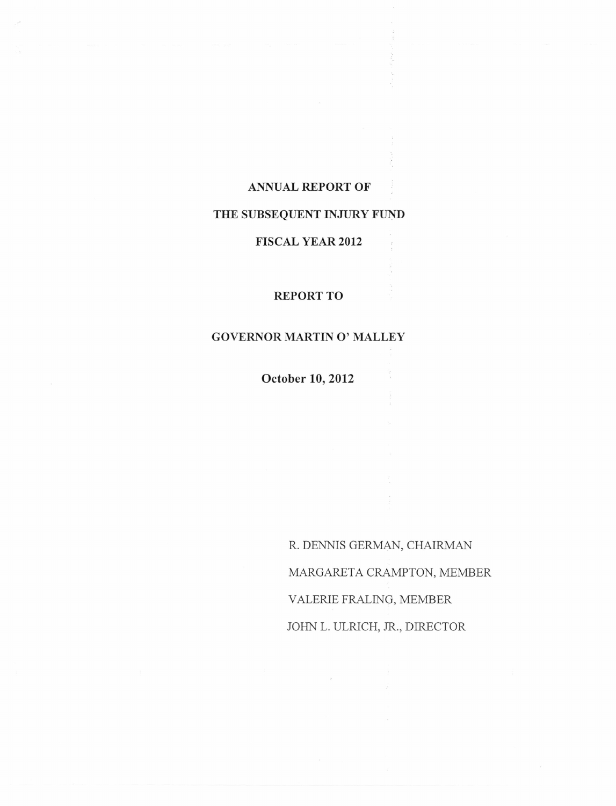### **ANNUAL REPORT OF**

# **THE SUBSEQUENT INJURY FUND**

### **FISCAL YEAR 2012**

## REPORT TO

# **GOVERNOR MARTIN 0' MALLEY**

**October 10,2012**

R. DENNIS GERMAN, CHAIRMAN MARGARETA CRAMPTON, MEMBER VALERIE FRALING, MEMBER JOHN L. ULRICH, JR., DIRECTOR

 $\hat{z}$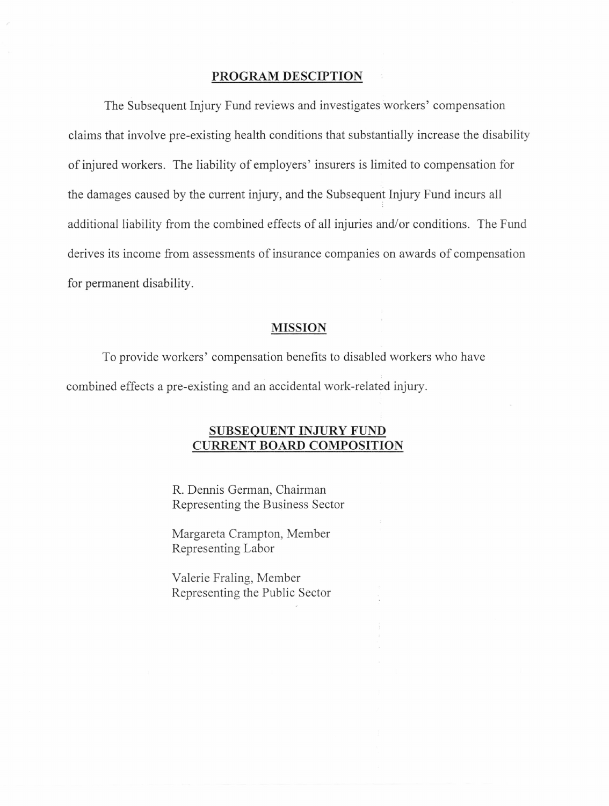### **PROGRAM DESCIPTION**

The Subsequent Injury Fund reviews and investigates workers' compensation claims that involve pre-existing health conditions that substantially increase the disability of injured workers. The liability of employers' insurers is limited to compensation for the damages caused by the current injury, and the Subsequent Injury Fund incurs all additional liability from the combined effects of all injuries and/or conditions. The Fund derives its income from assessments of insurance companies on awards of compensation for permanent disability.

### **MISSION**

To provide workers' compensation benefits to disabled workers who have combined effects a pre-existing and an accidental work-related injury.

## SUBSEQUENT INJURY FUND **CURRENT BOARD COMPOSITION**

R. Dennis German, Chairman Representing the Business Sector

Margareta Crampton, Member Representing Labor

Valerie Fraling, Member Representing the Public Sector